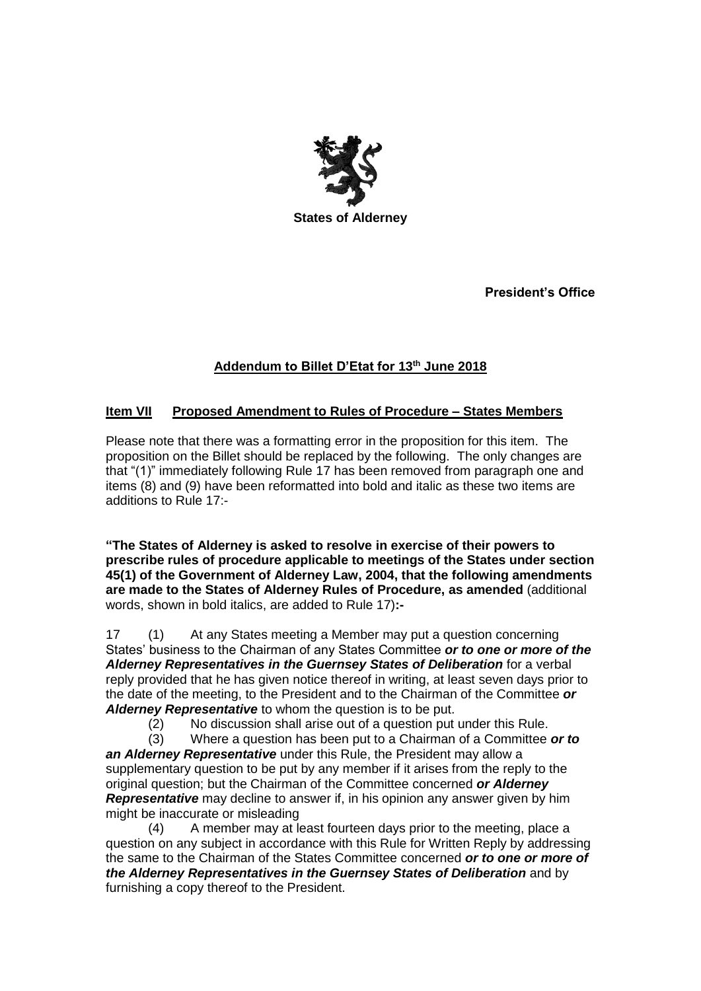

**President's Office**

## **Addendum to Billet D'Etat for 13 th June 2018**

## **Item VII Proposed Amendment to Rules of Procedure – States Members**

Please note that there was a formatting error in the proposition for this item. The proposition on the Billet should be replaced by the following. The only changes are that "(1)" immediately following Rule 17 has been removed from paragraph one and items (8) and (9) have been reformatted into bold and italic as these two items are additions to Rule 17:-

**"The States of Alderney is asked to resolve in exercise of their powers to prescribe rules of procedure applicable to meetings of the States under section 45(1) of the Government of Alderney Law, 2004, that the following amendments are made to the States of Alderney Rules of Procedure, as amended** (additional words, shown in bold italics, are added to Rule 17)**:-**

17 (1) At any States meeting a Member may put a question concerning States' business to the Chairman of any States Committee *or to one or more of the*  Alderney Representatives in the Guernsey States of Deliberation for a verbal reply provided that he has given notice thereof in writing, at least seven days prior to the date of the meeting, to the President and to the Chairman of the Committee *or Alderney Representative* to whom the question is to be put.

(2) No discussion shall arise out of a question put under this Rule.

(3) Where a question has been put to a Chairman of a Committee *or to an Alderney Representative* under this Rule, the President may allow a supplementary question to be put by any member if it arises from the reply to the original question; but the Chairman of the Committee concerned *or Alderney Representative* may decline to answer if, in his opinion any answer given by him might be inaccurate or misleading

(4) A member may at least fourteen days prior to the meeting, place a question on any subject in accordance with this Rule for Written Reply by addressing the same to the Chairman of the States Committee concerned *or to one or more of the Alderney Representatives in the Guernsey States of Deliberation* and by furnishing a copy thereof to the President.